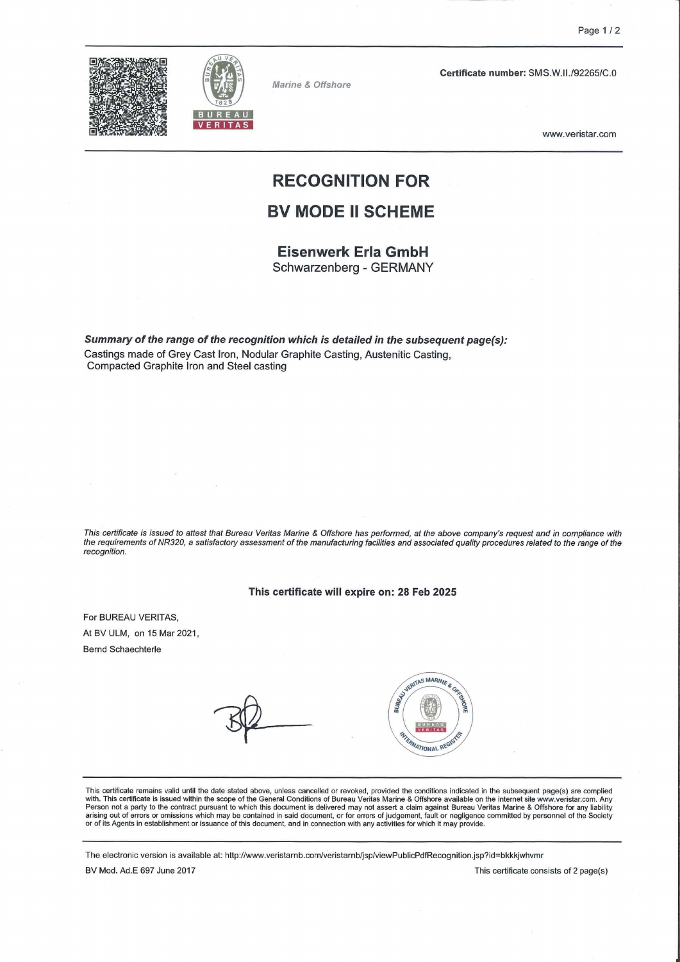



Marine & Offshore

Certificate number: SMS.W.II./92265/C.0

www.veristar.com

## RECOGNITION FOR

### BV MODE II SCHEME

Eisenwerk Erla GmbH Schwarzenberg - GERMANY

Summary of the range of the recognition which is detailed in the subsequent page(s): Castings made of Grey Cast Iron, Nodular Graphite Casting, Austenitic Casting, Compacted Graphite Iron and Steel casting

This certificate is issued to attest that Bureau Veritas Marine & Offshore has performed, at the above company's request and in compliance with the requirements of NR320, a satisfactory assessment of the manufacturing facilities and associated quaiity procedures related to the ränge of the recognition.

#### This certificate will expire on: 28 Feb 2025

For BUREAU VERITAS, At BV ULM, on 15 Mar 2021, Bernd Schaechterle



This certificate remains valid until the date stated above, unless cancelled or revoked, provided the conditions indicated in the subsequent page(s) are complied with. This certificate remains valid until the date stated a or of its Agents in establishment or issuance of this document, and in connection with any activities for which it may provide.

The electronic Version is available at: http://www.veristarnb.com/veristarnb/jsp/viewPublicPdfRecognition.jsp?id=bkkkjwhvmr

BV Mod. Ad.E 697 June 2017 **This certificate consists of 2 page(s)** This certificate consists of 2 page(s)